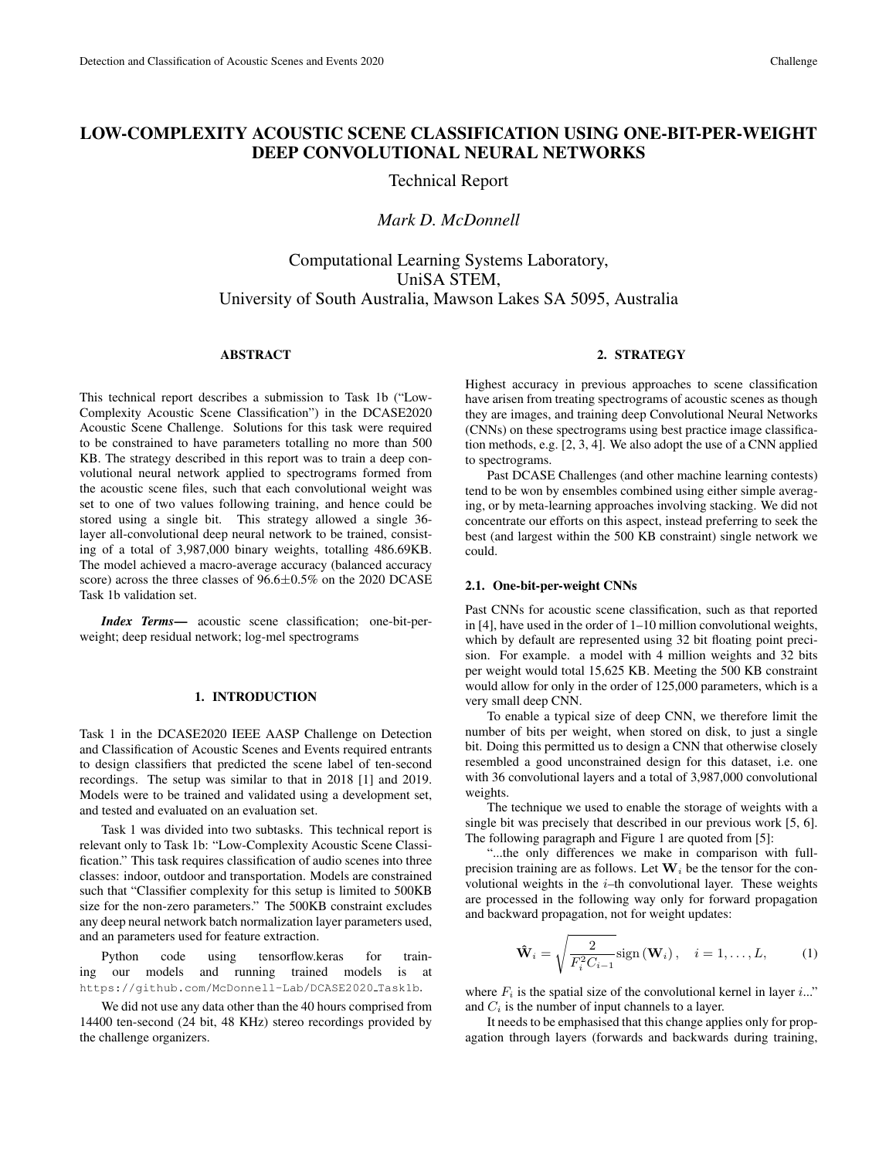## LOW-COMPLEXITY ACOUSTIC SCENE CLASSIFICATION USING ONE-BIT-PER-WEIGHT DEEP CONVOLUTIONAL NEURAL NETWORKS

Technical Report

## *Mark D. McDonnell*

# Computational Learning Systems Laboratory, UniSA STEM, University of South Australia, Mawson Lakes SA 5095, Australia

### ABSTRACT

This technical report describes a submission to Task 1b ("Low-Complexity Acoustic Scene Classification") in the DCASE2020 Acoustic Scene Challenge. Solutions for this task were required to be constrained to have parameters totalling no more than 500 KB. The strategy described in this report was to train a deep convolutional neural network applied to spectrograms formed from the acoustic scene files, such that each convolutional weight was set to one of two values following training, and hence could be stored using a single bit. This strategy allowed a single 36 layer all-convolutional deep neural network to be trained, consisting of a total of 3,987,000 binary weights, totalling 486.69KB. The model achieved a macro-average accuracy (balanced accuracy score) across the three classes of  $96.6 \pm 0.5\%$  on the 2020 DCASE Task 1b validation set.

*Index Terms*— acoustic scene classification; one-bit-perweight; deep residual network; log-mel spectrograms

### 1. INTRODUCTION

Task 1 in the DCASE2020 IEEE AASP Challenge on Detection and Classification of Acoustic Scenes and Events required entrants to design classifiers that predicted the scene label of ten-second recordings. The setup was similar to that in 2018 [1] and 2019. Models were to be trained and validated using a development set, and tested and evaluated on an evaluation set.

Task 1 was divided into two subtasks. This technical report is relevant only to Task 1b: "Low-Complexity Acoustic Scene Classification." This task requires classification of audio scenes into three classes: indoor, outdoor and transportation. Models are constrained such that "Classifier complexity for this setup is limited to 500KB size for the non-zero parameters." The 500KB constraint excludes any deep neural network batch normalization layer parameters used, and an parameters used for feature extraction.

Python code using tensorflow.keras for training our models and running trained models is at https://github.com/McDonnell-Lab/DCASE2020 Task1b.

We did not use any data other than the 40 hours comprised from 14400 ten-second (24 bit, 48 KHz) stereo recordings provided by the challenge organizers.

### 2. STRATEGY

Highest accuracy in previous approaches to scene classification have arisen from treating spectrograms of acoustic scenes as though they are images, and training deep Convolutional Neural Networks (CNNs) on these spectrograms using best practice image classification methods, e.g. [2, 3, 4]. We also adopt the use of a CNN applied to spectrograms.

Past DCASE Challenges (and other machine learning contests) tend to be won by ensembles combined using either simple averaging, or by meta-learning approaches involving stacking. We did not concentrate our efforts on this aspect, instead preferring to seek the best (and largest within the 500 KB constraint) single network we could.

### 2.1. One-bit-per-weight CNNs

Past CNNs for acoustic scene classification, such as that reported in [4], have used in the order of 1–10 million convolutional weights, which by default are represented using 32 bit floating point precision. For example. a model with 4 million weights and 32 bits per weight would total 15,625 KB. Meeting the 500 KB constraint would allow for only in the order of 125,000 parameters, which is a very small deep CNN.

To enable a typical size of deep CNN, we therefore limit the number of bits per weight, when stored on disk, to just a single bit. Doing this permitted us to design a CNN that otherwise closely resembled a good unconstrained design for this dataset, i.e. one with 36 convolutional layers and a total of 3,987,000 convolutional weights.

The technique we used to enable the storage of weights with a single bit was precisely that described in our previous work [5, 6]. The following paragraph and Figure 1 are quoted from [5]:

"...the only differences we make in comparison with fullprecision training are as follows. Let  $W_i$  be the tensor for the convolutional weights in the  $i$ -th convolutional layer. These weights are processed in the following way only for forward propagation and backward propagation, not for weight updates:

$$
\hat{\mathbf{W}}_i = \sqrt{\frac{2}{F_i^2 C_{i-1}}} \text{sign}\left(\mathbf{W}_i\right), \quad i = 1, \dots, L,\tag{1}
$$

where  $F_i$  is the spatial size of the convolutional kernel in layer i..." and  $C_i$  is the number of input channels to a layer.

It needs to be emphasised that this change applies only for propagation through layers (forwards and backwards during training,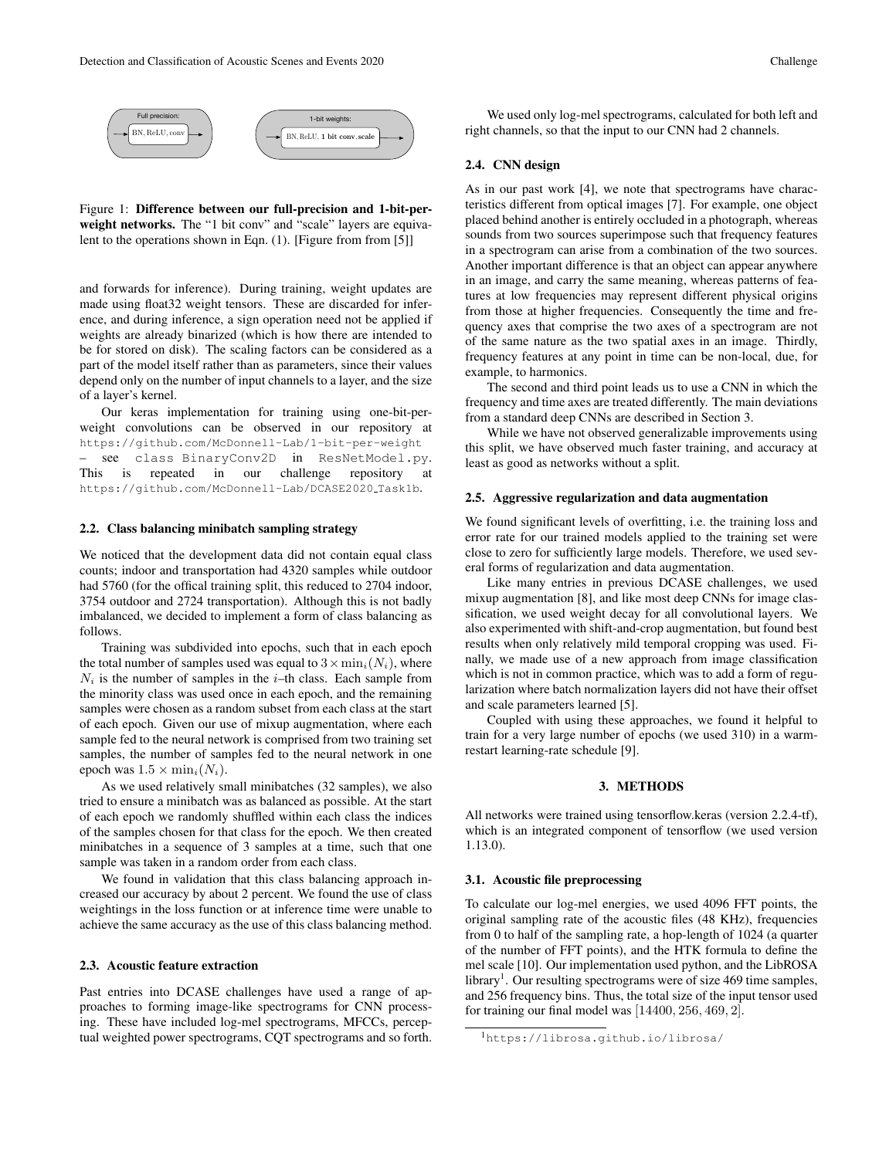

Figure 1: Difference between our full-precision and 1-bit-perweight networks. The "1 bit conv" and "scale" layers are equivalent to the operations shown in Eqn. (1). [Figure from from [5]]

and forwards for inference). During training, weight updates are made using float32 weight tensors. These are discarded for inference, and during inference, a sign operation need not be applied if weights are already binarized (which is how there are intended to be for stored on disk). The scaling factors can be considered as a part of the model itself rather than as parameters, since their values depend only on the number of input channels to a layer, and the size of a layer's kernel.

Our keras implementation for training using one-bit-perweight convolutions can be observed in our repository at https://github.com/McDonnell-Lab/1-bit-per-weight see class BinaryConv2D in ResNetModel.py. This is repeated in our challenge repository at https://github.com/McDonnell-Lab/DCASE2020 Task1b.

### 2.2. Class balancing minibatch sampling strategy

We noticed that the development data did not contain equal class counts; indoor and transportation had 4320 samples while outdoor had 5760 (for the offical training split, this reduced to 2704 indoor, 3754 outdoor and 2724 transportation). Although this is not badly imbalanced, we decided to implement a form of class balancing as follows.

Training was subdivided into epochs, such that in each epoch the total number of samples used was equal to  $3 \times \min_i(N_i)$ , where  $N_i$  is the number of samples in the *i*–th class. Each sample from the minority class was used once in each epoch, and the remaining samples were chosen as a random subset from each class at the start of each epoch. Given our use of mixup augmentation, where each sample fed to the neural network is comprised from two training set samples, the number of samples fed to the neural network in one epoch was  $1.5 \times \min_i(N_i)$ .

As we used relatively small minibatches (32 samples), we also tried to ensure a minibatch was as balanced as possible. At the start of each epoch we randomly shuffled within each class the indices of the samples chosen for that class for the epoch. We then created minibatches in a sequence of 3 samples at a time, such that one sample was taken in a random order from each class.

We found in validation that this class balancing approach increased our accuracy by about 2 percent. We found the use of class weightings in the loss function or at inference time were unable to achieve the same accuracy as the use of this class balancing method.

### 2.3. Acoustic feature extraction

Past entries into DCASE challenges have used a range of approaches to forming image-like spectrograms for CNN processing. These have included log-mel spectrograms, MFCCs, perceptual weighted power spectrograms, CQT spectrograms and so forth.

We used only log-mel spectrograms, calculated for both left and right channels, so that the input to our CNN had 2 channels.

#### 2.4. CNN design

As in our past work [4], we note that spectrograms have characteristics different from optical images [7]. For example, one object placed behind another is entirely occluded in a photograph, whereas sounds from two sources superimpose such that frequency features in a spectrogram can arise from a combination of the two sources. Another important difference is that an object can appear anywhere in an image, and carry the same meaning, whereas patterns of features at low frequencies may represent different physical origins from those at higher frequencies. Consequently the time and frequency axes that comprise the two axes of a spectrogram are not of the same nature as the two spatial axes in an image. Thirdly, frequency features at any point in time can be non-local, due, for example, to harmonics.

The second and third point leads us to use a CNN in which the frequency and time axes are treated differently. The main deviations from a standard deep CNNs are described in Section 3.

While we have not observed generalizable improvements using this split, we have observed much faster training, and accuracy at least as good as networks without a split.

#### 2.5. Aggressive regularization and data augmentation

We found significant levels of overfitting, i.e. the training loss and error rate for our trained models applied to the training set were close to zero for sufficiently large models. Therefore, we used several forms of regularization and data augmentation.

Like many entries in previous DCASE challenges, we used mixup augmentation [8], and like most deep CNNs for image classification, we used weight decay for all convolutional layers. We also experimented with shift-and-crop augmentation, but found best results when only relatively mild temporal cropping was used. Finally, we made use of a new approach from image classification which is not in common practice, which was to add a form of regularization where batch normalization layers did not have their offset and scale parameters learned [5].

Coupled with using these approaches, we found it helpful to train for a very large number of epochs (we used 310) in a warmrestart learning-rate schedule [9].

### 3. METHODS

All networks were trained using tensorflow.keras (version 2.2.4-tf), which is an integrated component of tensorflow (we used version 1.13.0).

#### 3.1. Acoustic file preprocessing

To calculate our log-mel energies, we used 4096 FFT points, the original sampling rate of the acoustic files (48 KHz), frequencies from 0 to half of the sampling rate, a hop-length of 1024 (a quarter of the number of FFT points), and the HTK formula to define the mel scale [10]. Our implementation used python, and the LibROSA library<sup>1</sup>. Our resulting spectrograms were of size 469 time samples, and 256 frequency bins. Thus, the total size of the input tensor used for training our final model was [14400, 256, 469, 2].

<sup>1</sup>https://librosa.github.io/librosa/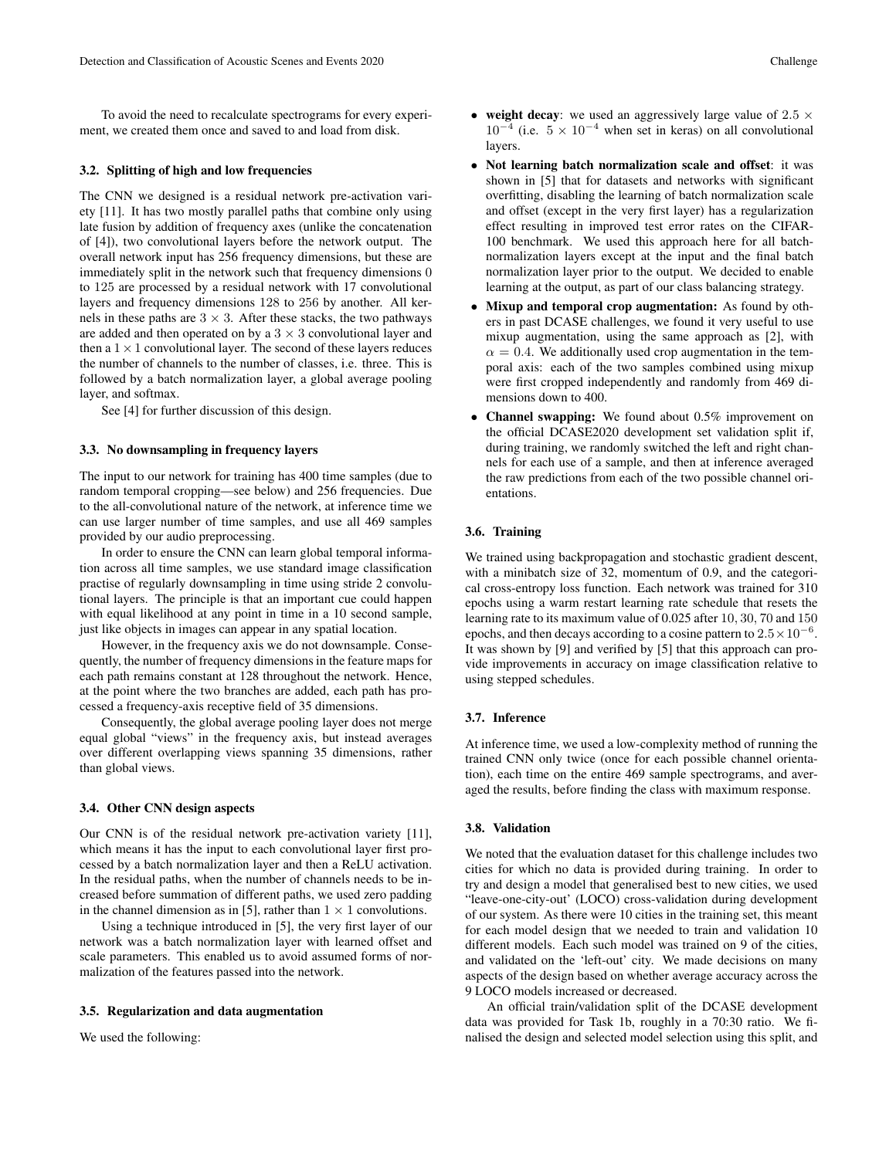To avoid the need to recalculate spectrograms for every experiment, we created them once and saved to and load from disk.

### 3.2. Splitting of high and low frequencies

The CNN we designed is a residual network pre-activation variety [11]. It has two mostly parallel paths that combine only using late fusion by addition of frequency axes (unlike the concatenation of [4]), two convolutional layers before the network output. The overall network input has 256 frequency dimensions, but these are immediately split in the network such that frequency dimensions 0 to 125 are processed by a residual network with 17 convolutional layers and frequency dimensions 128 to 256 by another. All kernels in these paths are  $3 \times 3$ . After these stacks, the two pathways are added and then operated on by a  $3 \times 3$  convolutional layer and then a  $1 \times 1$  convolutional layer. The second of these layers reduces the number of channels to the number of classes, i.e. three. This is followed by a batch normalization layer, a global average pooling layer, and softmax.

See [4] for further discussion of this design.

#### 3.3. No downsampling in frequency layers

The input to our network for training has 400 time samples (due to random temporal cropping—see below) and 256 frequencies. Due to the all-convolutional nature of the network, at inference time we can use larger number of time samples, and use all 469 samples provided by our audio preprocessing.

In order to ensure the CNN can learn global temporal information across all time samples, we use standard image classification practise of regularly downsampling in time using stride 2 convolutional layers. The principle is that an important cue could happen with equal likelihood at any point in time in a 10 second sample, just like objects in images can appear in any spatial location.

However, in the frequency axis we do not downsample. Consequently, the number of frequency dimensions in the feature maps for each path remains constant at 128 throughout the network. Hence, at the point where the two branches are added, each path has processed a frequency-axis receptive field of 35 dimensions.

Consequently, the global average pooling layer does not merge equal global "views" in the frequency axis, but instead averages over different overlapping views spanning 35 dimensions, rather than global views.

#### 3.4. Other CNN design aspects

Our CNN is of the residual network pre-activation variety [11], which means it has the input to each convolutional layer first processed by a batch normalization layer and then a ReLU activation. In the residual paths, when the number of channels needs to be increased before summation of different paths, we used zero padding in the channel dimension as in [5], rather than  $1 \times 1$  convolutions.

Using a technique introduced in [5], the very first layer of our network was a batch normalization layer with learned offset and scale parameters. This enabled us to avoid assumed forms of normalization of the features passed into the network.

### 3.5. Regularization and data augmentation

We used the following:

- weight decay: we used an aggressively large value of  $2.5 \times$  $10^{-4}$  (i.e.  $5 \times 10^{-4}$  when set in keras) on all convolutional layers.
- Not learning batch normalization scale and offset: it was shown in [5] that for datasets and networks with significant overfitting, disabling the learning of batch normalization scale and offset (except in the very first layer) has a regularization effect resulting in improved test error rates on the CIFAR-100 benchmark. We used this approach here for all batchnormalization layers except at the input and the final batch normalization layer prior to the output. We decided to enable learning at the output, as part of our class balancing strategy.
- Mixup and temporal crop augmentation: As found by others in past DCASE challenges, we found it very useful to use mixup augmentation, using the same approach as [2], with  $\alpha = 0.4$ . We additionally used crop augmentation in the temporal axis: each of the two samples combined using mixup were first cropped independently and randomly from 469 dimensions down to 400.
- Channel swapping: We found about 0.5% improvement on the official DCASE2020 development set validation split if, during training, we randomly switched the left and right channels for each use of a sample, and then at inference averaged the raw predictions from each of the two possible channel orientations.

### 3.6. Training

We trained using backpropagation and stochastic gradient descent, with a minibatch size of 32, momentum of 0.9, and the categorical cross-entropy loss function. Each network was trained for 310 epochs using a warm restart learning rate schedule that resets the learning rate to its maximum value of 0.025 after 10, 30, 70 and 150 epochs, and then decays according to a cosine pattern to  $2.5 \times 10^{-6}$ . It was shown by [9] and verified by [5] that this approach can provide improvements in accuracy on image classification relative to using stepped schedules.

#### 3.7. Inference

At inference time, we used a low-complexity method of running the trained CNN only twice (once for each possible channel orientation), each time on the entire 469 sample spectrograms, and averaged the results, before finding the class with maximum response.

### 3.8. Validation

We noted that the evaluation dataset for this challenge includes two cities for which no data is provided during training. In order to try and design a model that generalised best to new cities, we used "leave-one-city-out' (LOCO) cross-validation during development of our system. As there were 10 cities in the training set, this meant for each model design that we needed to train and validation 10 different models. Each such model was trained on 9 of the cities, and validated on the 'left-out' city. We made decisions on many aspects of the design based on whether average accuracy across the 9 LOCO models increased or decreased.

An official train/validation split of the DCASE development data was provided for Task 1b, roughly in a 70:30 ratio. We finalised the design and selected model selection using this split, and